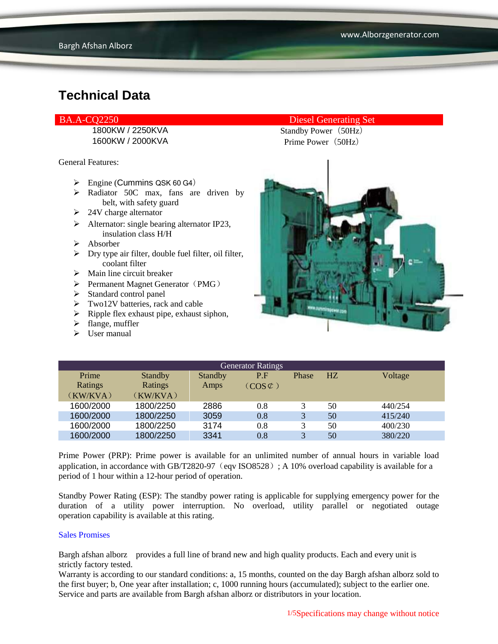1600KW / 2000KVA Prime Power (50Hz)

General Features:

- $\triangleright$  Engine (Cummins QSK 60 G4)
- > Radiator 50C max, fans are driven by belt, with safety guard
- $\geq$  24V charge alternator
- $\triangleright$  Alternator: single bearing alternator IP23, insulation class H/H
- $\triangleright$  Absorber
- $\triangleright$  Dry type air filter, double fuel filter, oil filter, coolant filter
- $\triangleright$  Main line circuit breaker
- $\triangleright$  Permanent Magnet Generator (PMG)
- $\triangleright$  Standard control panel
- $\triangleright$  Two12V batteries, rack and cable
- $\triangleright$  Ripple flex exhaust pipe, exhaust siphon,
- $\triangleright$  flange, muffler
- $\triangleright$  User manual

BA.A-CQ2250 Diesel Generating Set

1800KW / 2250KVA Standby Power (50Hz)



| <b>Generator Ratings</b> |                |         |                     |       |    |         |
|--------------------------|----------------|---------|---------------------|-------|----|---------|
| Prime                    | <b>Standby</b> | Standby | P.F                 | Phase | HZ | Voltage |
| Ratings                  | Ratings        | Amps    | $(COS \mathcal{L})$ |       |    |         |
| (KW/KVA)                 | (KW/KVA)       |         |                     |       |    |         |
| 1600/2000                | 1800/2250      | 2886    | 0.8                 |       | 50 | 440/254 |
| 1600/2000                | 1800/2250      | 3059    | 0.8                 | 3     | 50 | 415/240 |
| 1600/2000                | 1800/2250      | 3174    | 0.8                 | 3     | 50 | 400/230 |
| 1600/2000                | 1800/2250      | 3341    | 0.8                 |       | 50 | 380/220 |

Prime Power (PRP): Prime power is available for an unlimited number of annual hours in variable load application, in accordance with GB/T2820-97 (eqv ISO8528); A 10% overload capability is available for a period of 1 hour within a 12-hour period of operation.

Standby Power Rating (ESP): The standby power rating is applicable for supplying emergency power for the duration of a utility power interruption. No overload, utility parallel or negotiated outage operation capability is available at this rating.

#### Sales Promises

Bargh afshan alborz provides a full line of brand new and high quality products. Each and every unit is strictly factory tested.

Warranty is according to our standard conditions: a, 15 months, counted on the day Bargh afshan alborz sold to the first buyer; b, One year after installation; c, 1000 running hours (accumulated); subject to the earlier one. Service and parts are available from Bargh afshan alborz or distributors in your location.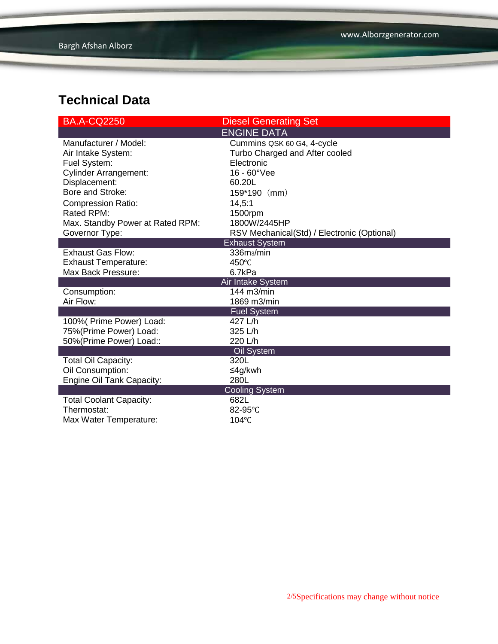| <b>BA.A-CQ2250</b>               | <b>Diesel Generating Set</b>                |  |  |  |
|----------------------------------|---------------------------------------------|--|--|--|
|                                  | <b>ENGINE DATA</b>                          |  |  |  |
| Manufacturer / Model:            | Cummins QSK 60 G4, 4-cycle                  |  |  |  |
| Air Intake System:               | Turbo Charged and After cooled              |  |  |  |
| Fuel System:                     | Electronic                                  |  |  |  |
| <b>Cylinder Arrangement:</b>     | $16 - 60^{\circ}$ Vee                       |  |  |  |
| Displacement:                    | 60.20L                                      |  |  |  |
| Bore and Stroke:                 | $159*190$ (mm)                              |  |  |  |
| <b>Compression Ratio:</b>        | 14,5:1                                      |  |  |  |
| Rated RPM:                       | 1500rpm                                     |  |  |  |
| Max. Standby Power at Rated RPM: | 1800W/2445HP                                |  |  |  |
| Governor Type:                   | RSV Mechanical(Std) / Electronic (Optional) |  |  |  |
|                                  | <b>Exhaust System</b>                       |  |  |  |
| <b>Exhaust Gas Flow:</b>         | 336m <sub>3</sub> /min                      |  |  |  |
| <b>Exhaust Temperature:</b>      | $450^{\circ}$ C                             |  |  |  |
| Max Back Pressure:               | 6.7kPa                                      |  |  |  |
|                                  | Air Intake System                           |  |  |  |
| Consumption:                     | 144 m3/min                                  |  |  |  |
| Air Flow:                        | 1869 m3/min                                 |  |  |  |
|                                  | <b>Fuel System</b>                          |  |  |  |
| 100% (Prime Power) Load:         | 427 L/h                                     |  |  |  |
| 75%(Prime Power) Load:           | 325 L/h                                     |  |  |  |
| 50%(Prime Power) Load::          | 220 L/h                                     |  |  |  |
|                                  | Oil System                                  |  |  |  |
| Total Oil Capacity:              | 320L                                        |  |  |  |
| Oil Consumption:                 | ≤4g/kwh                                     |  |  |  |
| Engine Oil Tank Capacity:        | 280L                                        |  |  |  |
| <b>Cooling System</b>            |                                             |  |  |  |
| <b>Total Coolant Capacity:</b>   | 682L                                        |  |  |  |
| Thermostat:                      | 82-95°C                                     |  |  |  |
| Max Water Temperature:           | 104°C                                       |  |  |  |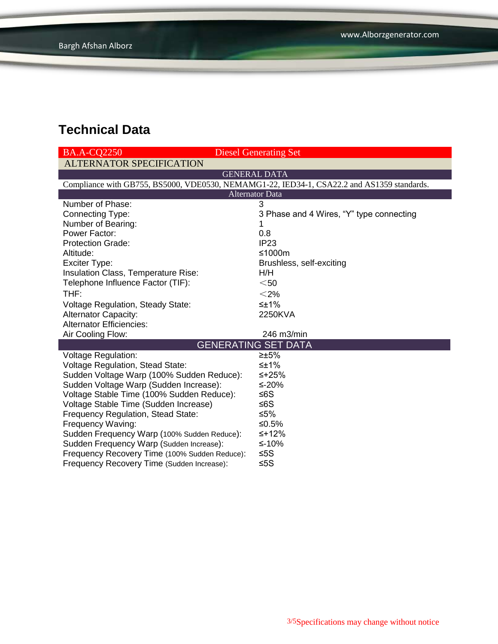| <b>BA.A-CO2250</b>                            | <b>Diesel Generating Set</b>                                                               |  |  |  |  |
|-----------------------------------------------|--------------------------------------------------------------------------------------------|--|--|--|--|
| <b>ALTERNATOR SPECIFICATION</b>               |                                                                                            |  |  |  |  |
| <b>GENERAL DATA</b>                           |                                                                                            |  |  |  |  |
|                                               | Compliance with GB755, BS5000, VDE0530, NEMAMG1-22, IED34-1, CSA22.2 and AS1359 standards. |  |  |  |  |
| <b>Alternator Data</b>                        |                                                                                            |  |  |  |  |
| Number of Phase:                              | 3                                                                                          |  |  |  |  |
| <b>Connecting Type:</b>                       | 3 Phase and 4 Wires, "Y" type connecting                                                   |  |  |  |  |
| Number of Bearing:                            | 1                                                                                          |  |  |  |  |
| Power Factor:                                 | 0.8                                                                                        |  |  |  |  |
| <b>Protection Grade:</b>                      | IP <sub>23</sub>                                                                           |  |  |  |  |
| Altitude:                                     | ≤1000m                                                                                     |  |  |  |  |
| Exciter Type:                                 | Brushless, self-exciting                                                                   |  |  |  |  |
| Insulation Class, Temperature Rise:           | H/H                                                                                        |  |  |  |  |
| Telephone Influence Factor (TIF):             | $50$                                                                                       |  |  |  |  |
| THF:                                          | $<$ 2%                                                                                     |  |  |  |  |
| <b>Voltage Regulation, Steady State:</b>      | $\leq \pm 1\%$                                                                             |  |  |  |  |
| <b>Alternator Capacity:</b>                   | 2250KVA                                                                                    |  |  |  |  |
| <b>Alternator Efficiencies:</b>               |                                                                                            |  |  |  |  |
| Air Cooling Flow:                             | 246 m3/min                                                                                 |  |  |  |  |
| <b>GENERATING SET DATA</b>                    |                                                                                            |  |  |  |  |
| <b>Voltage Regulation:</b>                    | $\geq \pm 5\%$                                                                             |  |  |  |  |
| Voltage Regulation, Stead State:              | $\leq \pm 1\%$                                                                             |  |  |  |  |
| Sudden Voltage Warp (100% Sudden Reduce):     | ≤+25%                                                                                      |  |  |  |  |
| Sudden Voltage Warp (Sudden Increase):        | ≤-20%                                                                                      |  |  |  |  |
| Voltage Stable Time (100% Sudden Reduce):     | ≤6S                                                                                        |  |  |  |  |
| Voltage Stable Time (Sudden Increase)         | ≤6S                                                                                        |  |  |  |  |
| Frequency Regulation, Stead State:            | ≤5%                                                                                        |  |  |  |  |
| Frequency Waving:                             | ≤ $0.5%$                                                                                   |  |  |  |  |
| Sudden Frequency Warp (100% Sudden Reduce):   | $≤+12%$                                                                                    |  |  |  |  |
| Sudden Frequency Warp (Sudden Increase):      | ≤-10%                                                                                      |  |  |  |  |
| Frequency Recovery Time (100% Sudden Reduce): | $≤5S$                                                                                      |  |  |  |  |
| Frequency Recovery Time (Sudden Increase):    | $≤5S$                                                                                      |  |  |  |  |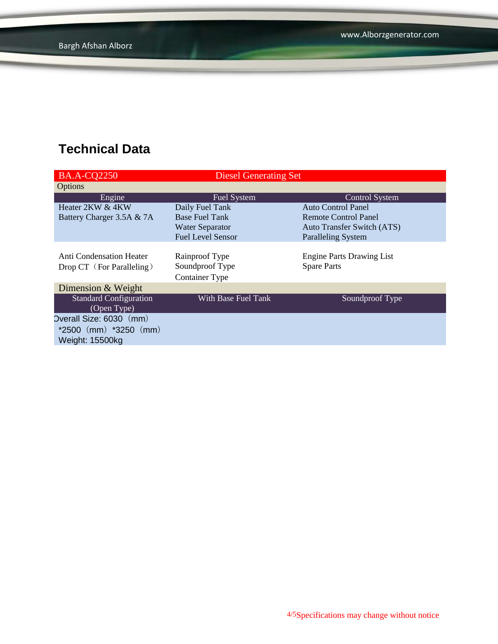| <b>BA.A-CQ2250</b>              | <b>Diesel Generating Set</b> |                                   |
|---------------------------------|------------------------------|-----------------------------------|
| Options                         |                              |                                   |
| Engine                          | <b>Fuel System</b>           | <b>Control System</b>             |
| Heater 2KW & 4KW                | Daily Fuel Tank              | Auto Control Panel                |
| Battery Charger 3.5A & 7A       | <b>Base Fuel Tank</b>        | Remote Control Panel              |
|                                 | <b>Water Separator</b>       | <b>Auto Transfer Switch (ATS)</b> |
|                                 | <b>Fuel Level Sensor</b>     | <b>Paralleling System</b>         |
|                                 |                              |                                   |
| <b>Anti Condensation Heater</b> | Rainproof Type               | <b>Engine Parts Drawing List</b>  |
| Drop CT (For Paralleling)       | Soundproof Type              | <b>Spare Parts</b>                |
|                                 | <b>Container Type</b>        |                                   |
| Dimension & Weight              |                              |                                   |
| <b>Standard Configuration</b>   | With Base Fuel Tank          | Soundproof Type                   |
| (Open Type)                     |                              |                                   |
| Overall Size: 6030 (mm)         |                              |                                   |
| $*2500$ (mm) $*3250$ (mm)       |                              |                                   |
| Weight: 15500kg                 |                              |                                   |
|                                 |                              |                                   |